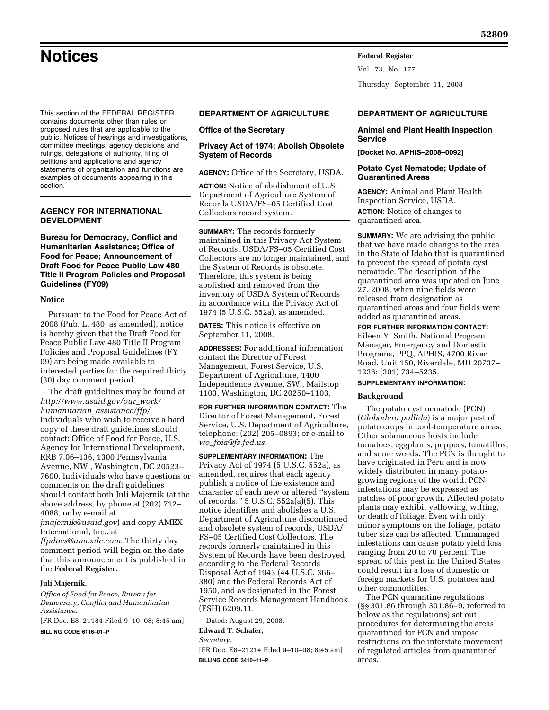This section of the FEDERAL REGISTER contains documents other than rules or proposed rules that are applicable to the public. Notices of hearings and investigations, committee meetings, agency decisions and rulings, delegations of authority, filing of petitions and applications and agency statements of organization and functions are examples of documents appearing in this section.

# **AGENCY FOR INTERNATIONAL DEVELOPMENT**

**Bureau for Democracy, Conflict and Humanitarian Assistance; Office of Food for Peace; Announcement of Draft Food for Peace Public Law 480 Title II Program Policies and Proposal Guidelines (FY09)** 

#### **Notice**

Pursuant to the Food for Peace Act of 2008 (Pub. L. 480, as amended), notice is hereby given that the Draft Food for Peace Public Law 480 Title II Program Policies and Proposal Guidelines (FY 09) are being made available to interested parties for the required thirty (30) day comment period.

The draft guidelines may be found at *http://www.usaid.gov/our*\_*work/ humanitarian*\_*assistance/ffp/*. Individuals who wish to receive a hard copy of these draft guidelines should contact: Office of Food for Peace, U.S. Agency for International Development, RRB 7.06–136, 1300 Pennsylvania Avenue, NW., Washington, DC 20523– 7600. Individuals who have questions or comments on the draft guidelines should contact both Juli Majernik (at the above address, by phone at (202) 712– 4088, or by e-mail at

*jmajernik@usaid.gov*) and copy AMEX International, Inc., at

*ffpdocs@amexdc.com*. The thirty day comment period will begin on the date that this announcement is published in the **Federal Register**.

#### **Juli Majernik,**

*Office of Food for Peace, Bureau for Democracy, Conflict and Humanitarian Assistance.* 

[FR Doc. E8–21184 Filed 9–10–08; 8:45 am] **BILLING CODE 6116–01–P** 

# **DEPARTMENT OF AGRICULTURE**

#### **Office of the Secretary**

# **Privacy Act of 1974; Abolish Obsolete System of Records**

**AGENCY:** Office of the Secretary, USDA.

**ACTION:** Notice of abolishment of U.S. Department of Agriculture System of Records USDA/FS–05 Certified Cost Collectors record system.

**SUMMARY:** The records formerly maintained in this Privacy Act System of Records, USDA/FS–05 Certified Cost Collectors are no longer maintained, and the System of Records is obsolete. Therefore, this system is being abolished and removed from the inventory of USDA System of Records in accordance with the Privacy Act of 1974 (5 U.S.C. 552a), as amended.

**DATES:** This notice is effective on September 11, 2008.

**ADDRESSES:** For additional information contact the Director of Forest Management, Forest Service, U.S. Department of Agriculture, 1400 Independence Avenue, SW., Mailstop 1103, Washington, DC 20250–1103.

**FOR FURTHER INFORMATION CONTACT:** The Director of Forest Management, Forest Service, U.S. Department of Agriculture, telephone: (202) 205–0893; or e-mail to *wo*\_*foia@fs.fed.us*.

**SUPPLEMENTARY INFORMATION:** The Privacy Act of 1974 (5 U.S.C. 552a), as amended, requires that each agency publish a notice of the existence and character of each new or altered ''system of records.'' 5 U.S.C. 552a(a)(5). This notice identifies and abolishes a U.S. Department of Agriculture discontinued and obsolete system of records, USDA/ FS–05 Certified Cost Collectors. The records formerly maintained in this System of Records have been destroyed according to the Federal Records Disposal Act of 1943 (44 U.S.C. 366– 380) and the Federal Records Act of 1950, and as designated in the Forest Service Records Management Handbook (FSH) 6209.11.

Dated: August 29, 2008.

**Edward T. Schafer,** 

*Secretary.* 

[FR Doc. E8–21214 Filed 9–10–08; 8:45 am] **BILLING CODE 3410–11–P** 

#### **DEPARTMENT OF AGRICULTURE**

## **Animal and Plant Health Inspection Service**

**[Docket No. APHIS–2008–0092]** 

Thursday, September 11, 2008

Vol. 73, No. 177

## **Potato Cyst Nematode; Update of Quarantined Areas**

**AGENCY:** Animal and Plant Health Inspection Service, USDA.

**ACTION:** Notice of changes to quarantined area.

**SUMMARY:** We are advising the public that we have made changes to the area in the State of Idaho that is quarantined to prevent the spread of potato cyst nematode. The description of the quarantined area was updated on June 27, 2008, when nine fields were released from designation as quarantined areas and four fields were added as quarantined areas.

# **FOR FURTHER INFORMATION CONTACT:**

Eileen Y. Smith, National Program Manager, Emergency and Domestic Programs, PPQ, APHIS, 4700 River Road, Unit 150, Riverdale, MD 20737– 1236; (301) 734–5235.

#### **SUPPLEMENTARY INFORMATION:**

#### **Background**

The potato cyst nematode (PCN) (*Globodera pallida*) is a major pest of potato crops in cool-temperature areas. Other solanaceous hosts include tomatoes, eggplants, peppers, tomatillos, and some weeds. The PCN is thought to have originated in Peru and is now widely distributed in many potatogrowing regions of the world. PCN infestations may be expressed as patches of poor growth. Affected potato plants may exhibit yellowing, wilting, or death of foliage. Even with only minor symptoms on the foliage, potato tuber size can be affected. Unmanaged infestations can cause potato yield loss ranging from 20 to 70 percent. The spread of this pest in the United States could result in a loss of domestic or foreign markets for U.S. potatoes and other commodities.

The PCN quarantine regulations (§§ 301.86 through 301.86–9, referred to below as the regulations) set out procedures for determining the areas quarantined for PCN and impose restrictions on the interstate movement of regulated articles from quarantined areas.

# **Notices Federal Register**